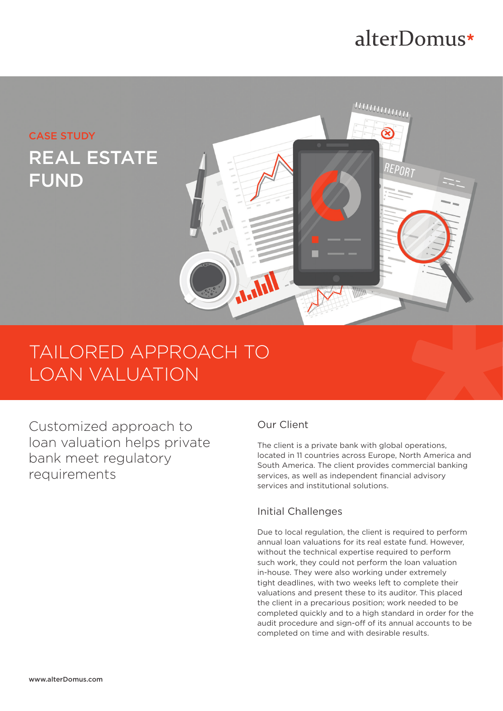# alterDomus\*

# лишинин CASE STUDY REAL ESTATE REPORT FUND **Tald**

# TAILORED APPROACH TO LOAN VALUATION

Customized approach to loan valuation helps private bank meet regulatory requirements

# Our Client

The client is a private bank with global operations, located in 11 countries across Europe, North America and South America. The client provides commercial banking services, as well as independent financial advisory services and institutional solutions.

## Initial Challenges

Due to local regulation, the client is required to perform annual loan valuations for its real estate fund. However, without the technical expertise required to perform such work, they could not perform the loan valuation in-house. They were also working under extremely tight deadlines, with two weeks left to complete their valuations and present these to its auditor. This placed the client in a precarious position; work needed to be completed quickly and to a high standard in order for the audit procedure and sign-off of its annual accounts to be completed on time and with desirable results.